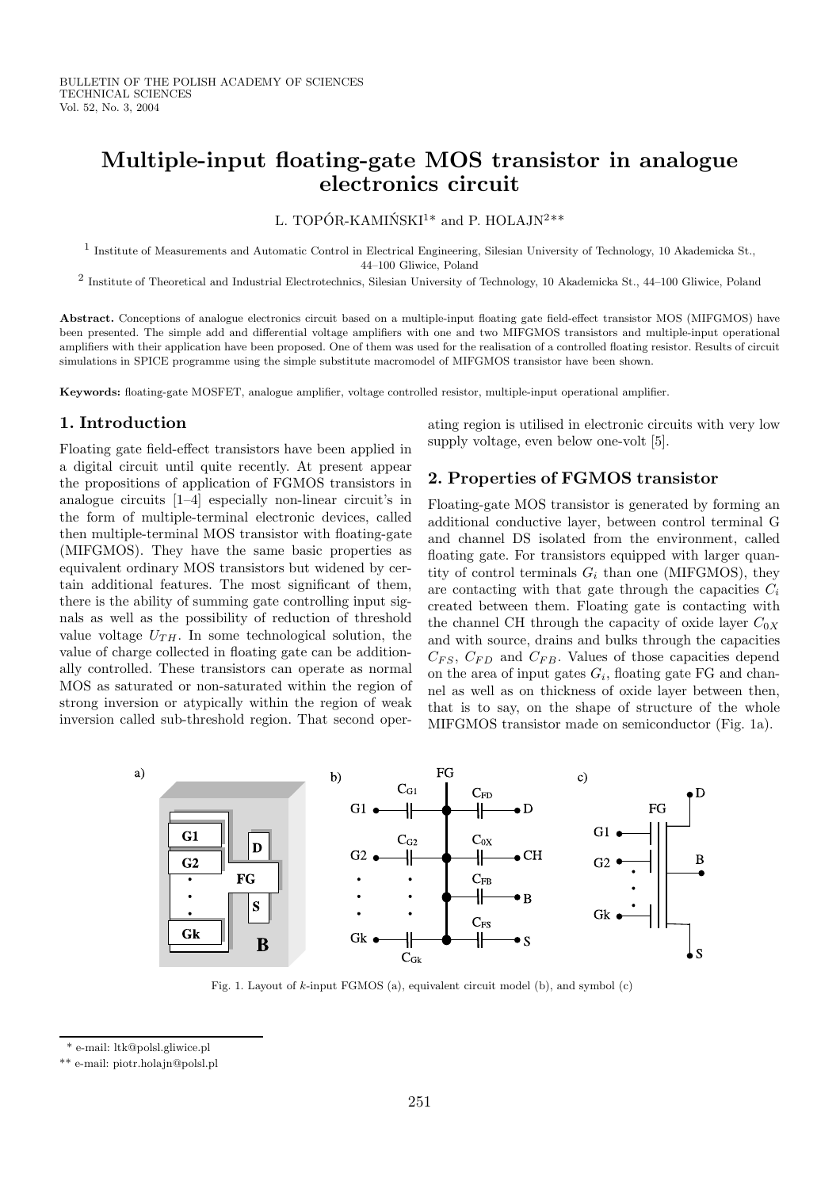# Multiple-input floating-gate MOS transistor in analogue electronics circuit

L. TOPÓR-KAMIŃSKI<sup>1\*</sup> and P. HOLAJN<sup>2\*\*</sup>

<sup>1</sup> Institute of Measurements and Automatic Control in Electrical Engineering, Silesian University of Technology, 10 Akademicka St., 44–100 Gliwice, Poland

<sup>2</sup> Institute of Theoretical and Industrial Electrotechnics, Silesian University of Technology, 10 Akademicka St., 44–100 Gliwice, Poland

Abstract. Conceptions of analogue electronics circuit based on a multiple-input floating gate field-effect transistor MOS (MIFGMOS) have been presented. The simple add and differential voltage amplifiers with one and two MIFGMOS transistors and multiple-input operational amplifiers with their application have been proposed. One of them was used for the realisation of a controlled floating resistor. Results of circuit simulations in SPICE programme using the simple substitute macromodel of MIFGMOS transistor have been shown.

Keywords: floating-gate MOSFET, analogue amplifier, voltage controlled resistor, multiple-input operational amplifier.

#### 1. Introduction

Floating gate field-effect transistors have been applied in a digital circuit until quite recently. At present appear the propositions of application of FGMOS transistors in analogue circuits [1–4] especially non-linear circuit's in the form of multiple-terminal electronic devices, called then multiple-terminal MOS transistor with floating-gate (MIFGMOS). They have the same basic properties as equivalent ordinary MOS transistors but widened by certain additional features. The most significant of them, there is the ability of summing gate controlling input signals as well as the possibility of reduction of threshold value voltage  $U_{TH}$ . In some technological solution, the value of charge collected in floating gate can be additionally controlled. These transistors can operate as normal MOS as saturated or non-saturated within the region of strong inversion or atypically within the region of weak inversion called sub-threshold region. That second operating region is utilised in electronic circuits with very low supply voltage, even below one-volt [5].

# 2. Properties of FGMOS transistor

Floating-gate MOS transistor is generated by forming an additional conductive layer, between control terminal G and channel DS isolated from the environment, called floating gate. For transistors equipped with larger quantity of control terminals  $G_i$  than one (MIFGMOS), they are contacting with that gate through the capacities  $C_i$ created between them. Floating gate is contacting with the channel CH through the capacity of oxide layer  $C_{0X}$ and with source, drains and bulks through the capacities  $C_{FS}$ ,  $C_{FD}$  and  $C_{FB}$ . Values of those capacities depend on the area of input gates  $G_i$ , floating gate FG and channel as well as on thickness of oxide layer between then, that is to say, on the shape of structure of the whole MIFGMOS transistor made on semiconductor (Fig. 1a).



Fig. 1. Layout of k-input FGMOS (a), equivalent circuit model (b), and symbol (c)

<sup>\*</sup> e-mail: ltk@polsl.gliwice.pl

<sup>\*\*</sup> e-mail: piotr.holajn@polsl.pl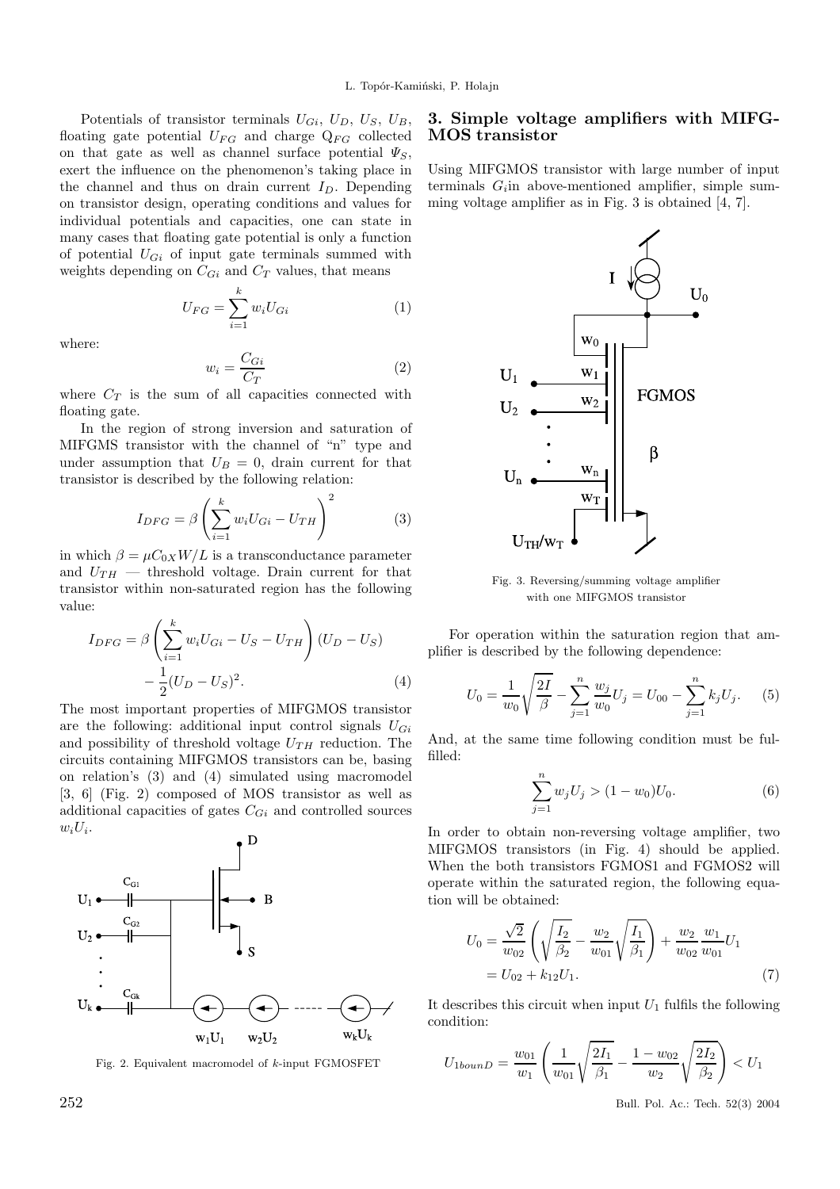Potentials of transistor terminals  $U_{Gi}$ ,  $U_D$ ,  $U_S$ ,  $U_B$ , floating gate potential  $U_{FG}$  and charge  $Q_{FG}$  collected on that gate as well as channel surface potential  $\Psi_S$ , exert the influence on the phenomenon's taking place in the channel and thus on drain current  $I_D$ . Depending on transistor design, operating conditions and values for individual potentials and capacities, one can state in many cases that floating gate potential is only a function of potential  $U_{Gi}$  of input gate terminals summed with weights depending on  $C_{Gi}$  and  $C_T$  values, that means

> $U_{FG} = \sum^{k}$  $i=1$  $w_i U_{Gi}$  (1)

where:

$$
w_i = \frac{C_{Gi}}{C_T} \tag{2}
$$

where  $C_T$  is the sum of all capacities connected with floating gate.

In the region of strong inversion and saturation of MIFGMS transistor with the channel of "n" type and under assumption that  $U_B = 0$ , drain current for that transistor is described by the following relation:

$$
I_{DFG} = \beta \left(\sum_{i=1}^{k} w_i U_{Gi} - U_{TH}\right)^2 \tag{3}
$$

in which  $\beta = \mu C_{0X} W/L$  is a transconductance parameter and  $U_{TH}$  — threshold voltage. Drain current for that transistor within non-saturated region has the following value:

$$
I_{DFG} = \beta \left( \sum_{i=1}^{k} w_i U_{Gi} - U_S - U_{TH} \right) (U_D - U_S) - \frac{1}{2} (U_D - U_S)^2.
$$
 (4)

The most important properties of MIFGMOS transistor are the following: additional input control signals  $U_{Gi}$ and possibility of threshold voltage  $U_{TH}$  reduction. The circuits containing MIFGMOS transistors can be, basing on relation's (3) and (4) simulated using macromodel [3, 6] (Fig. 2) composed of MOS transistor as well as additional capacities of gates  $C_{Gi}$  and controlled sources  $w_iU_i$ .



Fig. 2. Equivalent macromodel of k-input FGMOSFET

#### 3. Simple voltage amplifiers with MIFG-MOS transistor

Using MIFGMOS transistor with large number of input terminals  $G_i$  in above-mentioned amplifier, simple summing voltage amplifier as in Fig. 3 is obtained  $[4, 7]$ .



Fig. 3. Reversing/summing voltage amplifier with one MIFGMOS transistor

For operation within the saturation region that amplifier is described by the following dependence:

$$
U_0 = \frac{1}{w_0} \sqrt{\frac{2I}{\beta}} - \sum_{j=1}^n \frac{w_j}{w_0} U_j = U_{00} - \sum_{j=1}^n k_j U_j.
$$
 (5)

And, at the same time following condition must be fulfilled:

$$
\sum_{j=1}^{n} w_j U_j > (1 - w_0) U_0.
$$
 (6)

In order to obtain non-reversing voltage amplifier, two MIFGMOS transistors (in Fig. 4) should be applied. When the both transistors FGMOS1 and FGMOS2 will operate within the saturated region, the following equation will be obtained:

$$
U_0 = \frac{\sqrt{2}}{w_{02}} \left( \sqrt{\frac{I_2}{\beta_2}} - \frac{w_2}{w_{01}} \sqrt{\frac{I_1}{\beta_1}} \right) + \frac{w_2}{w_{02}} \frac{w_1}{w_{01}} U_1
$$
  
=  $U_{02} + k_{12} U_1.$  (7)

It describes this circuit when input  $U_1$  fulfils the following condition:

$$
U_{1\text{bound}} = \frac{w_{01}}{w_1} \left( \frac{1}{w_{01}} \sqrt{\frac{2I_1}{\beta_1}} - \frac{1 - w_{02}}{w_2} \sqrt{\frac{2I_2}{\beta_2}} \right) < U_1
$$

252 Bull. Pol. Ac.: Tech. 52(3) 2004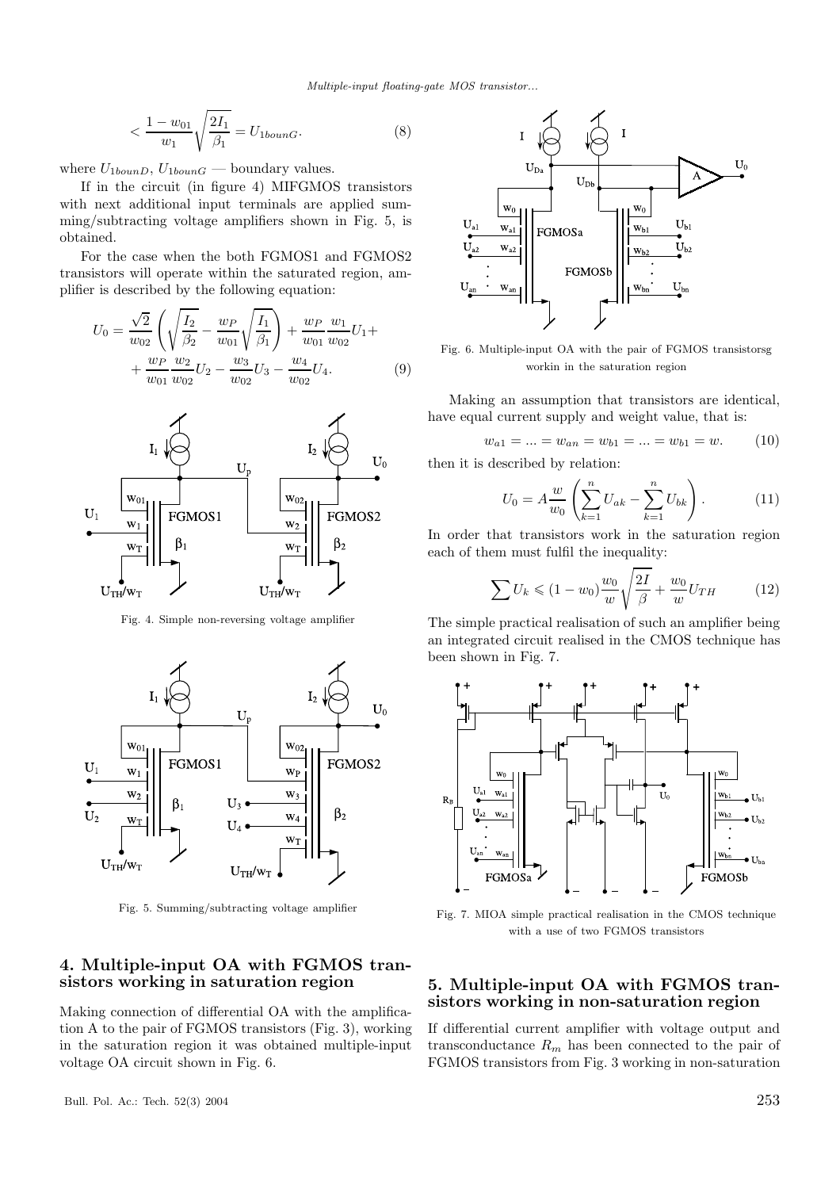Multiple-input floating-gate MOS transistor...

$$
\langle \frac{1 - w_{01}}{w_1} \sqrt{\frac{2I_1}{\beta_1}} = U_{1bound}.\tag{8}
$$

where  $U_{1\text{bound}}$ ,  $U_{1\text{bound}}$  — boundary values.

If in the circuit (in figure 4) MIFGMOS transistors with next additional input terminals are applied summing/subtracting voltage amplifiers shown in Fig. 5, is obtained.

For the case when the both FGMOS1 and FGMOS2 transistors will operate within the saturated region, amplifier is described by the following equation:

$$
U_0 = \frac{\sqrt{2}}{w_{02}} \left( \sqrt{\frac{I_2}{\beta_2}} - \frac{w_P}{w_{01}} \sqrt{\frac{I_1}{\beta_1}} \right) + \frac{w_P}{w_{01}} \frac{w_1}{w_{02}} U_1 + + \frac{w_P}{w_{01}} \frac{w_2}{w_{02}} U_2 - \frac{w_3}{w_{02}} U_3 - \frac{w_4}{w_{02}} U_4.
$$
 (9)



Fig. 4. Simple non-reversing voltage amplifier



Fig. 5. Summing/subtracting voltage amplifier

# 4. Multiple-input OA with FGMOS transistors working in saturation region

Making connection of differential OA with the amplification A to the pair of FGMOS transistors (Fig. 3), working in the saturation region it was obtained multiple-input voltage OA circuit shown in Fig. 6.



Fig. 6. Multiple-input OA with the pair of FGMOS transistorsg workin in the saturation region

Making an assumption that transistors are identical, have equal current supply and weight value, that is:

$$
w_{a1} = \dots = w_{an} = w_{b1} = \dots = w_{b1} = w.
$$
 (10)

then it is described by relation:

$$
U_0 = A \frac{w}{w_0} \left( \sum_{k=1}^n U_{ak} - \sum_{k=1}^n U_{bk} \right). \tag{11}
$$

In order that transistors work in the saturation region each of them must fulfil the inequality:

$$
\sum U_k \le (1 - w_0) \frac{w_0}{w} \sqrt{\frac{2I}{\beta}} + \frac{w_0}{w} U_{TH}
$$
 (12)

The simple practical realisation of such an amplifier being an integrated circuit realised in the CMOS technique has been shown in Fig. 7.



Fig. 7. MIOA simple practical realisation in the CMOS technique with a use of two FGMOS transistors

## 5. Multiple-input OA with FGMOS transistors working in non-saturation region

If differential current amplifier with voltage output and transconductance  $R_m$  has been connected to the pair of FGMOS transistors from Fig. 3 working in non-saturation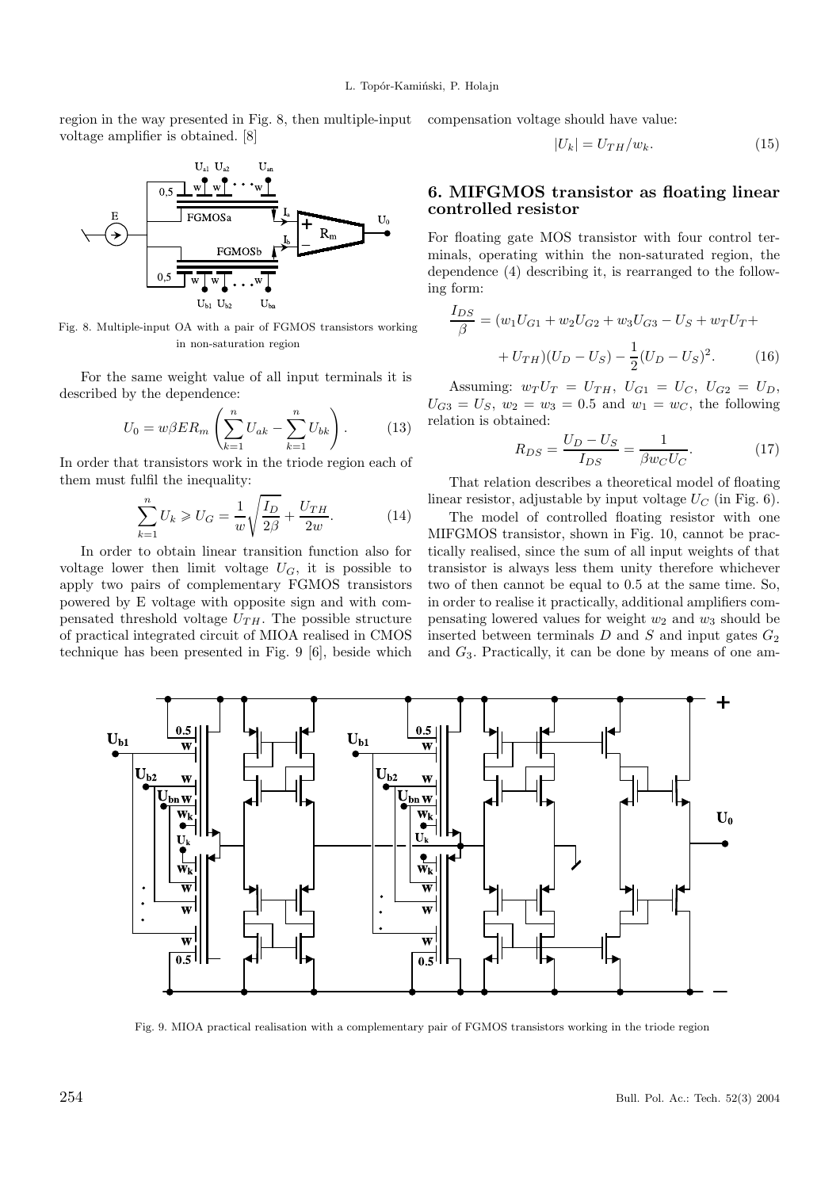region in the way presented in Fig. 8, then multiple-input compensation voltage should have value: voltage amplifier is obtained. [8]



Fig. 8. Multiple-input OA with a pair of FGMOS transistors working in non-saturation region

For the same weight value of all input terminals it is described by the dependence:

$$
U_0 = w\beta ER_m \left(\sum_{k=1}^n U_{ak} - \sum_{k=1}^n U_{bk}\right). \tag{13}
$$

In order that transistors work in the triode region each of them must fulfil the inequality:

$$
\sum_{k=1}^{n} U_k \ge U_G = \frac{1}{w} \sqrt{\frac{I_D}{2\beta}} + \frac{U_{TH}}{2w}.
$$
 (14)

In order to obtain linear transition function also for voltage lower then limit voltage  $U_G$ , it is possible to apply two pairs of complementary FGMOS transistors powered by E voltage with opposite sign and with compensated threshold voltage  $U_{TH}$ . The possible structure of practical integrated circuit of MIOA realised in CMOS technique has been presented in Fig. 9 [6], beside which



#### 6. MIFGMOS transistor as floating linear controlled resistor

For floating gate MOS transistor with four control terminals, operating within the non-saturated region, the dependence (4) describing it, is rearranged to the following form:

$$
\frac{I_{DS}}{\beta} = (w_1 U_{G1} + w_2 U_{G2} + w_3 U_{G3} - U_S + w_T U_T +
$$

$$
+ U_{TH})(U_D - U_S) - \frac{1}{2}(U_D - U_S)^2.
$$
(16)

Assuming:  $w_T U_T = U_{TH}$ ,  $U_{G1} = U_C$ ,  $U_{G2} = U_D$ ,  $U_{G3} = U_S$ ,  $w_2 = w_3 = 0.5$  and  $w_1 = w_C$ , the following relation is obtained:

$$
R_{DS} = \frac{U_D - U_S}{I_{DS}} = \frac{1}{\beta w_C U_C}.\tag{17}
$$

That relation describes a theoretical model of floating linear resistor, adjustable by input voltage  $U_C$  (in Fig. 6).

The model of controlled floating resistor with one MIFGMOS transistor, shown in Fig. 10, cannot be practically realised, since the sum of all input weights of that transistor is always less them unity therefore whichever two of then cannot be equal to 0.5 at the same time. So, in order to realise it practically, additional amplifiers compensating lowered values for weight  $w_2$  and  $w_3$  should be inserted between terminals  $D$  and  $S$  and input gates  $G_2$ and  $G_3$ . Practically, it can be done by means of one am-



Fig. 9. MIOA practical realisation with a complementary pair of FGMOS transistors working in the triode region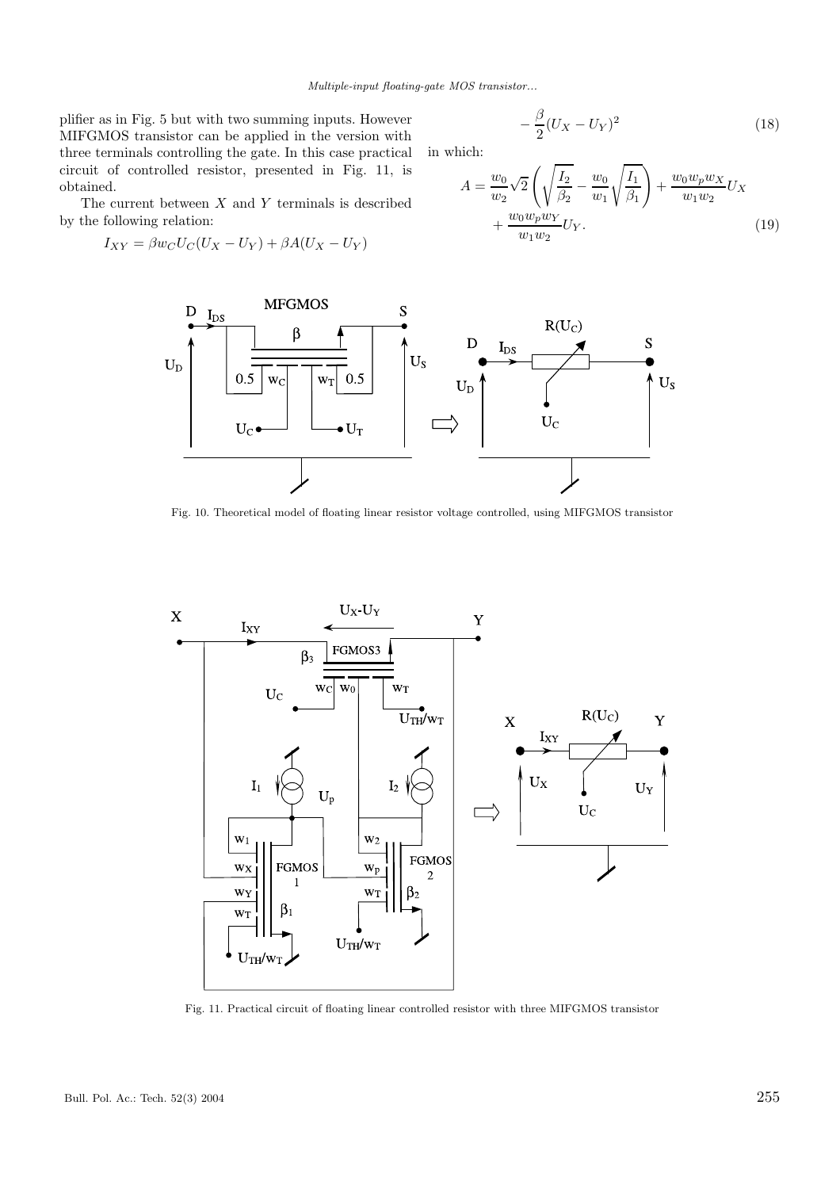Multiple-input floating-gate MOS transistor...

plifier as in Fig. 5 but with two summing inputs. However MIFGMOS transistor can be applied in the version with three terminals controlling the gate. In this case practical circuit of controlled resistor, presented in Fig. 11, is obtained.

The current between  $X$  and  $Y$  terminals is described by the following relation:

$$
I_{XY} = \beta w_C U_C (U_X - U_Y) + \beta A (U_X - U_Y)
$$

$$
-\frac{\beta}{2}(U_X - U_Y)^2\tag{18}
$$

in which:

$$
A = \frac{w_0}{w_2} \sqrt{2} \left( \sqrt{\frac{I_2}{\beta_2}} - \frac{w_0}{w_1} \sqrt{\frac{I_1}{\beta_1}} \right) + \frac{w_0 w_p w_X}{w_1 w_2} U_X + \frac{w_0 w_p w_Y}{w_1 w_2} U_Y.
$$
 (19)



Fig. 10. Theoretical model of floating linear resistor voltage controlled, using MIFGMOS transistor



Fig. 11. Practical circuit of floating linear controlled resistor with three MIFGMOS transistor